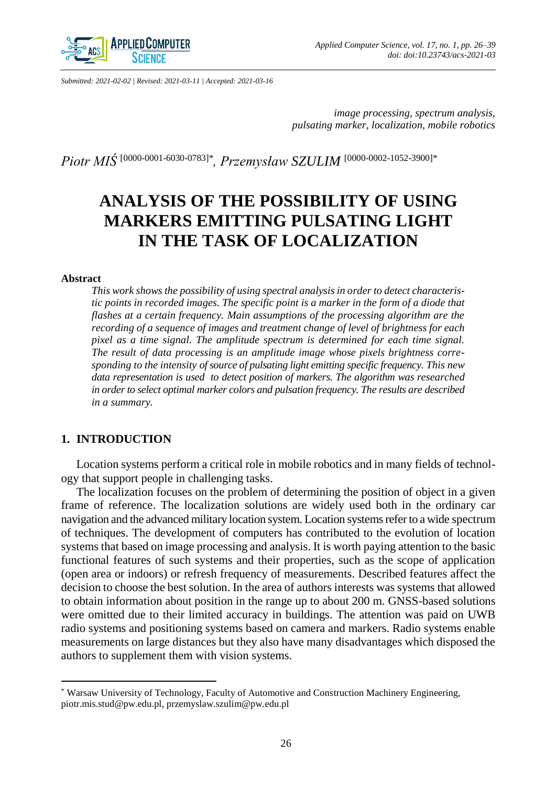

*Submitted: 2021-02-02 | Revised: 2021-03-11 | Accepted: 2021-03-16*

*image processing, spectrum analysis, pulsating marker, localization, mobile robotics*

*Piotr MIŚ* [\[0000-0001-6030-0783\]](https://orcid.org/0000-0001-6030-0783)\* *, Przemysław SZULIM* [\[0000-0002-1052-3900\]](https://orcid.org/0000-0002-1052-3900)\*

# **ANALYSIS OF THE POSSIBILITY OF USING MARKERS EMITTING PULSATING LIGHT IN THE TASK OF LOCALIZATION**

#### **Abstract**

 $\overline{\phantom{a}}$ 

*This work shows the possibility of using spectral analysis in order to detect characteristic points in recorded images. The specific point is a marker in the form of a diode that flashes at a certain frequency. Main assumptions of the processing algorithm are the recording of a sequence of images and treatment change of level of brightness for each pixel as a time signal. The amplitude spectrum is determined for each time signal. The result of data processing is an amplitude image whose pixels brightness corresponding to the intensity of source of pulsating light emitting specific frequency. This new data representation is used to detect position of markers. The algorithm was researched in order to select optimal marker colors and pulsation frequency. The results are described in a summary.*

# **1. INTRODUCTION**

Location systems perform a critical role in mobile robotics and in many fields of technology that support people in challenging tasks.

The localization focuses on the problem of determining the position of object in a given frame of reference. The localization solutions are widely used both in the ordinary car navigation and the advanced military location system. Location systems refer to a wide spectrum of techniques. The development of computers has contributed to the evolution of location systems that based on image processing and analysis. It is worth paying attention to the basic functional features of such systems and their properties, such as the scope of application (open area or indoors) or refresh frequency of measurements. Described features affect the decision to choose the best solution. In the area of authors interests was systems that allowed to obtain information about position in the range up to about 200 m. GNSS-based solutions were omitted due to their limited accuracy in buildings. The attention was paid on UWB radio systems and positioning systems based on camera and markers. Radio systems enable measurements on large distances but they also have many disadvantages which disposed the authors to supplement them with vision systems.

<sup>\*</sup> Warsaw University of Technology, Faculty of Automotive and Construction Machinery Engineering, piotr.mis.stud@pw.edu.pl, przemyslaw.szulim@pw.edu.pl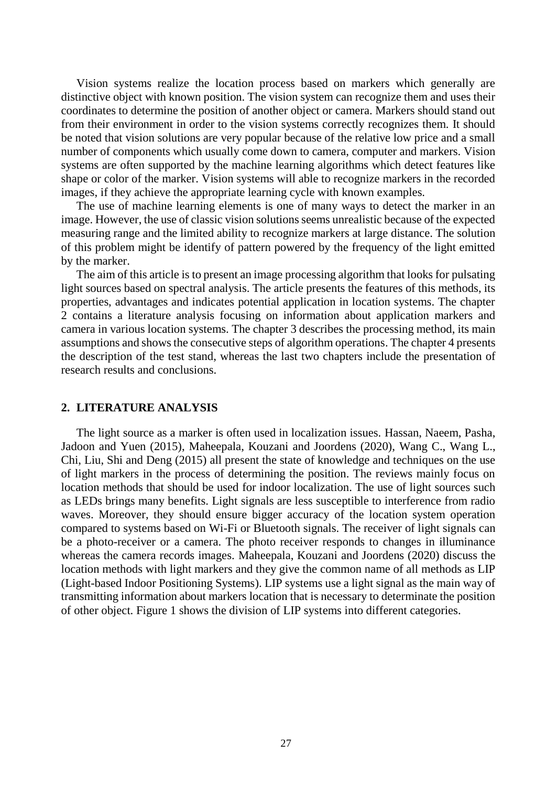Vision systems realize the location process based on markers which generally are distinctive object with known position. The vision system can recognize them and uses their coordinates to determine the position of another object or camera. Markers should stand out from their environment in order to the vision systems correctly recognizes them. It should be noted that vision solutions are very popular because of the relative low price and a small number of components which usually come down to camera, computer and markers. Vision systems are often supported by the machine learning algorithms which detect features like shape or color of the marker. Vision systems will able to recognize markers in the recorded images, if they achieve the appropriate learning cycle with known examples.

The use of machine learning elements is one of many ways to detect the marker in an image. However, the use of classic vision solutions seems unrealistic because of the expected measuring range and the limited ability to recognize markers at large distance. The solution of this problem might be identify of pattern powered by the frequency of the light emitted by the marker.

The aim of this article is to present an image processing algorithm that looks for pulsating light sources based on spectral analysis. The article presents the features of this methods, its properties, advantages and indicates potential application in location systems. The chapter 2 contains a literature analysis focusing on information about application markers and camera in various location systems. The chapter 3 describes the processing method, its main assumptions and shows the consecutive steps of algorithm operations. The chapter 4 presents the description of the test stand, whereas the last two chapters include the presentation of research results and conclusions.

## **2. LITERATURE ANALYSIS**

The light source as a marker is often used in localization issues. Hassan, Naeem, Pasha, Jadoon and Yuen (2015), Maheepala, Kouzani and Joordens (2020), Wang C., Wang L., Chi, Liu, Shi and Deng (2015) all present the state of knowledge and techniques on the use of light markers in the process of determining the position. The reviews mainly focus on location methods that should be used for indoor localization. The use of light sources such as LEDs brings many benefits. Light signals are less susceptible to interference from radio waves. Moreover, they should ensure bigger accuracy of the location system operation compared to systems based on Wi-Fi or Bluetooth signals. The receiver of light signals can be a photo-receiver or a camera. The photo receiver responds to changes in illuminance whereas the camera records images. Maheepala, Kouzani and Joordens (2020) discuss the location methods with light markers and they give the common name of all methods as LIP (Light-based Indoor Positioning Systems). LIP systems use a light signal as the main way of transmitting information about markers location that is necessary to determinate the position of other object. Figure 1 shows the division of LIP systems into different categories.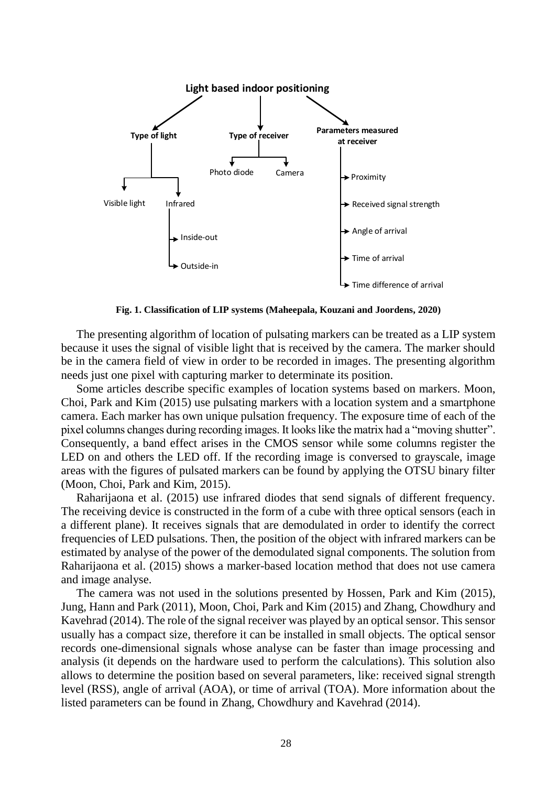

**Fig. 1. Classification of LIP systems (Maheepala, Kouzani and Joordens, 2020)**

The presenting algorithm of location of pulsating markers can be treated as a LIP system because it uses the signal of visible light that is received by the camera. The marker should be in the camera field of view in order to be recorded in images. The presenting algorithm needs just one pixel with capturing marker to determinate its position.

Some articles describe specific examples of location systems based on markers. Moon, Choi, Park and Kim (2015) use pulsating markers with a location system and a smartphone camera. Each marker has own unique pulsation frequency. The exposure time of each of the pixel columns changes during recording images. It looks like the matrix had a "moving shutter". Consequently, a band effect arises in the CMOS sensor while some columns register the LED on and others the LED off. If the recording image is conversed to grayscale, image areas with the figures of pulsated markers can be found by applying the OTSU binary filter (Moon, Choi, Park and Kim, 2015).

Raharijaona et al. (2015) use infrared diodes that send signals of different frequency. The receiving device is constructed in the form of a cube with three optical sensors (each in a different plane). It receives signals that are demodulated in order to identify the correct frequencies of LED pulsations. Then, the position of the object with infrared markers can be estimated by analyse of the power of the demodulated signal components. The solution from Raharijaona et al. (2015) shows a marker-based location method that does not use camera and image analyse.

The camera was not used in the solutions presented by Hossen, Park and Kim (2015), Jung, Hann and Park (2011), Moon, Choi, Park and Kim (2015) and Zhang, Chowdhury and Kavehrad (2014). The role of the signal receiver was played by an optical sensor. This sensor usually has a compact size, therefore it can be installed in small objects. The optical sensor records one-dimensional signals whose analyse can be faster than image processing and analysis (it depends on the hardware used to perform the calculations). This solution also allows to determine the position based on several parameters, like: received signal strength level (RSS), angle of arrival (AOA), or time of arrival (TOA). More information about the listed parameters can be found in Zhang, Chowdhury and Kavehrad (2014).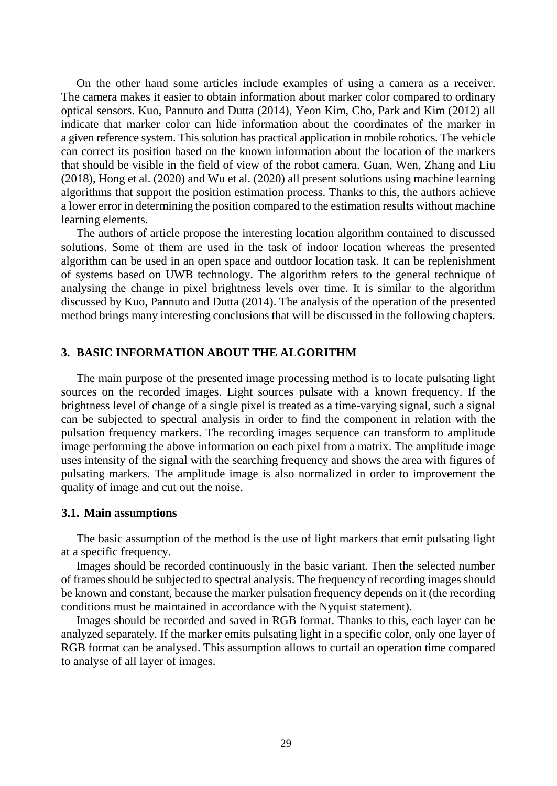On the other hand some articles include examples of using a camera as a receiver. The camera makes it easier to obtain information about marker color compared to ordinary optical sensors. Kuo, Pannuto and Dutta (2014), Yeon Kim, Cho, Park and Kim (2012) all indicate that marker color can hide information about the coordinates of the marker in a given reference system. This solution has practical application in mobile robotics. The vehicle can correct its position based on the known information about the location of the markers that should be visible in the field of view of the robot camera. Guan, Wen, Zhang and Liu (2018), Hong et al. (2020) and Wu et al. (2020) all present solutions using machine learning algorithms that support the position estimation process. Thanks to this, the authors achieve a lower error in determining the position compared to the estimation results without machine learning elements.

The authors of article propose the interesting location algorithm contained to discussed solutions. Some of them are used in the task of indoor location whereas the presented algorithm can be used in an open space and outdoor location task. It can be replenishment of systems based on UWB technology. The algorithm refers to the general technique of analysing the change in pixel brightness levels over time. It is similar to the algorithm discussed by Kuo, Pannuto and Dutta (2014). The analysis of the operation of the presented method brings many interesting conclusions that will be discussed in the following chapters.

# **3. BASIC INFORMATION ABOUT THE ALGORITHM**

The main purpose of the presented image processing method is to locate pulsating light sources on the recorded images. Light sources pulsate with a known frequency. If the brightness level of change of a single pixel is treated as a time-varying signal, such a signal can be subjected to spectral analysis in order to find the component in relation with the pulsation frequency markers. The recording images sequence can transform to amplitude image performing the above information on each pixel from a matrix. The amplitude image uses intensity of the signal with the searching frequency and shows the area with figures of pulsating markers. The amplitude image is also normalized in order to improvement the quality of image and cut out the noise.

#### **3.1. Main assumptions**

The basic assumption of the method is the use of light markers that emit pulsating light at a specific frequency.

Images should be recorded continuously in the basic variant. Then the selected number of frames should be subjected to spectral analysis. The frequency of recording images should be known and constant, because the marker pulsation frequency depends on it (the recording conditions must be maintained in accordance with the Nyquist statement).

Images should be recorded and saved in RGB format. Thanks to this, each layer can be analyzed separately. If the marker emits pulsating light in a specific color, only one layer of RGB format can be analysed. This assumption allows to curtail an operation time compared to analyse of all layer of images.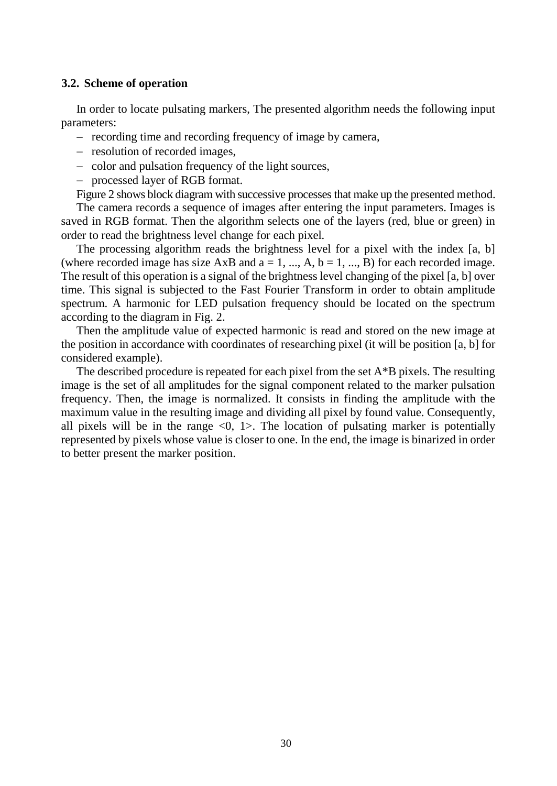# **3.2. Scheme of operation**

In order to locate pulsating markers, The presented algorithm needs the following input parameters:

- recording time and recording frequency of image by camera,
- resolution of recorded images,
- color and pulsation frequency of the light sources,

- processed layer of RGB format.

Figure 2 shows block diagram with successive processes that make up the presented method.

The camera records a sequence of images after entering the input parameters. Images is saved in RGB format. Then the algorithm selects one of the layers (red, blue or green) in order to read the brightness level change for each pixel.

The processing algorithm reads the brightness level for a pixel with the index [a, b] (where recorded image has size AxB and  $a = 1, ..., A, b = 1, ..., B$ ) for each recorded image. The result of this operation is a signal of the brightness level changing of the pixel [a, b] over time. This signal is subjected to the Fast Fourier Transform in order to obtain amplitude spectrum. A harmonic for LED pulsation frequency should be located on the spectrum according to the diagram in Fig. 2.

Then the amplitude value of expected harmonic is read and stored on the new image at the position in accordance with coordinates of researching pixel (it will be position [a, b] for considered example).

The described procedure is repeated for each pixel from the set  $A^*B$  pixels. The resulting image is the set of all amplitudes for the signal component related to the marker pulsation frequency. Then, the image is normalized. It consists in finding the amplitude with the maximum value in the resulting image and dividing all pixel by found value. Consequently, all pixels will be in the range  $\langle 0, 1 \rangle$ . The location of pulsating marker is potentially represented by pixels whose value is closer to one. In the end, the image is binarized in order to better present the marker position.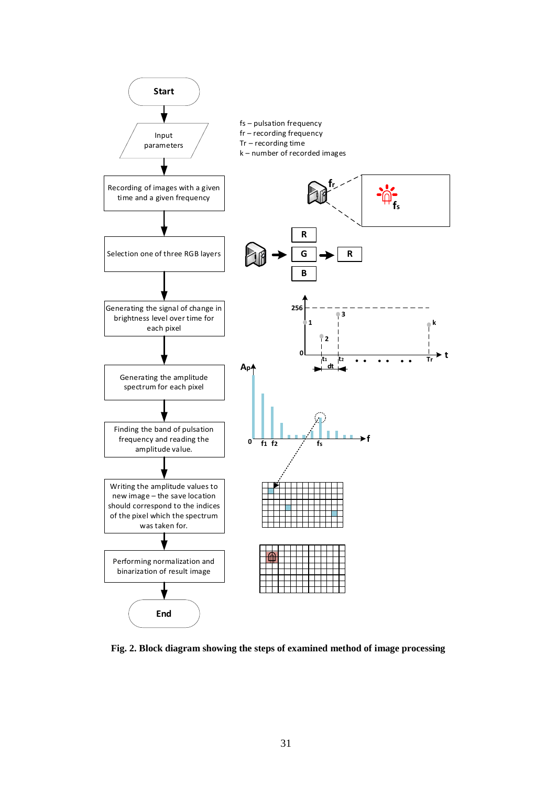

**Fig. 2. Block diagram showing the steps of examined method of image processing**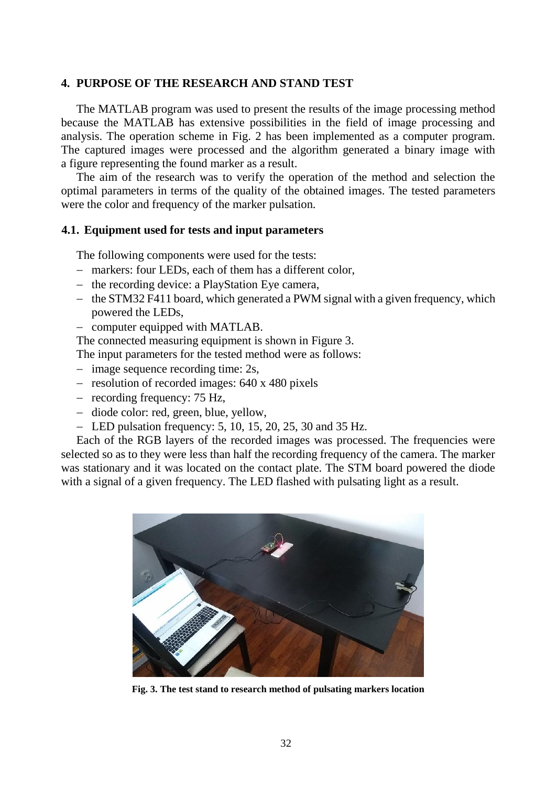# **4. PURPOSE OF THE RESEARCH AND STAND TEST**

The MATLAB program was used to present the results of the image processing method because the MATLAB has extensive possibilities in the field of image processing and analysis. The operation scheme in Fig. 2 has been implemented as a computer program. The captured images were processed and the algorithm generated a binary image with a figure representing the found marker as a result.

The aim of the research was to verify the operation of the method and selection the optimal parameters in terms of the quality of the obtained images. The tested parameters were the color and frequency of the marker pulsation.

#### **4.1. Equipment used for tests and input parameters**

The following components were used for the tests:

- markers: four LEDs, each of them has a different color,
- the recording device: a PlayStation Eye camera,
- $-$  the STM32 F411 board, which generated a PWM signal with a given frequency, which powered the LEDs,
- computer equipped with MATLAB.

The connected measuring equipment is shown in Figure 3.

The input parameters for the tested method were as follows:

- $\frac{1}{2}$  image sequence recording time: 2s,
- resolution of recorded images: 640 x 480 pixels
- recording frequency: 75 Hz,
- diode color: red, green, blue, yellow,
- LED pulsation frequency:  $5, 10, 15, 20, 25, 30$  and  $35$  Hz.

Each of the RGB layers of the recorded images was processed. The frequencies were selected so as to they were less than half the recording frequency of the camera. The marker was stationary and it was located on the contact plate. The STM board powered the diode with a signal of a given frequency. The LED flashed with pulsating light as a result.



**Fig. 3. The test stand to research method of pulsating markers location**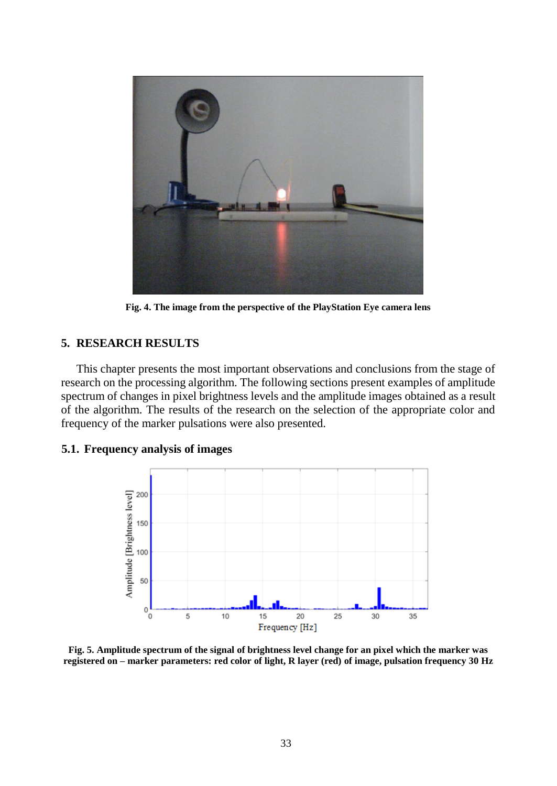

**Fig. 4. The image from the perspective of the PlayStation Eye camera lens**

# **5. RESEARCH RESULTS**

This chapter presents the most important observations and conclusions from the stage of research on the processing algorithm. The following sections present examples of amplitude spectrum of changes in pixel brightness levels and the amplitude images obtained as a result of the algorithm. The results of the research on the selection of the appropriate color and frequency of the marker pulsations were also presented.

# **5.1. Frequency analysis of images**



**Fig. 5. Amplitude spectrum of the signal of brightness level change for an pixel which the marker was registered on – marker parameters: red color of light, R layer (red) of image, pulsation frequency 30 Hz**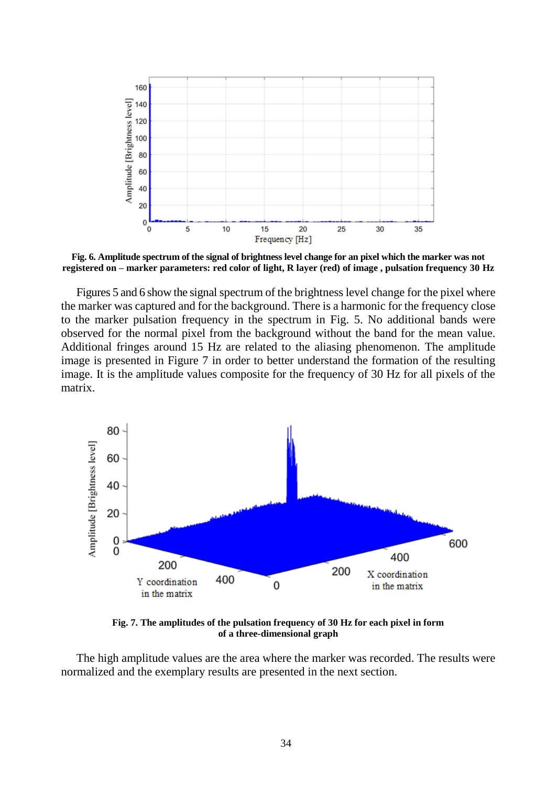

**Fig. 6. Amplitude spectrum of the signal of brightness level change for an pixel which the marker was not registered on – marker parameters: red color of light, R layer (red) of image , pulsation frequency 30 Hz**

Figures 5 and 6 show the signal spectrum of the brightness level change for the pixel where the marker was captured and for the background. There is a harmonic for the frequency close to the marker pulsation frequency in the spectrum in Fig. 5. No additional bands were observed for the normal pixel from the background without the band for the mean value. Additional fringes around 15 Hz are related to the aliasing phenomenon. The amplitude image is presented in Figure 7 in order to better understand the formation of the resulting image. It is the amplitude values composite for the frequency of 30 Hz for all pixels of the matrix.



**Fig. 7. The amplitudes of the pulsation frequency of 30 Hz for each pixel in form of a three-dimensional graph**

The high amplitude values are the area where the marker was recorded. The results were normalized and the exemplary results are presented in the next section.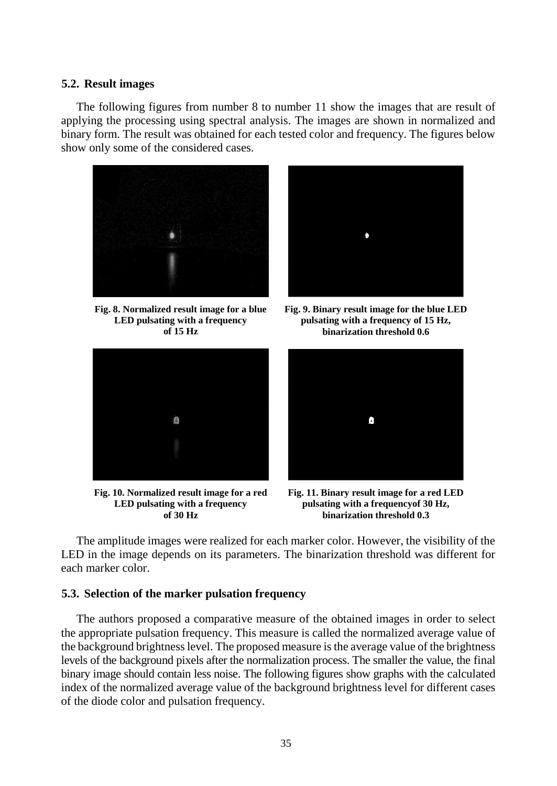### **5.2. Result images**

The following figures from number 8 to number 11 show the images that are result of applying the processing using spectral analysis. The images are shown in normalized and binary form. The result was obtained for each tested color and frequency. The figures below show only some of the considered cases.



**Fig. 8. Normalized result image for a blue LED pulsating with a frequency of 15 Hz**



**Fig. 10. Normalized result image for a red LED pulsating with a frequency of 30 Hz**



**Fig. 9. Binary result image for the blue LED pulsating with a frequency of 15 Hz, binarization threshold 0.6**



**Fig. 11. Binary result image for a red LED pulsating with a frequencyof 30 Hz, binarization threshold 0.3**

The amplitude images were realized for each marker color. However, the visibility of the LED in the image depends on its parameters. The binarization threshold was different for each marker color.

# **5.3. Selection of the marker pulsation frequency**

The authors proposed a comparative measure of the obtained images in order to select the appropriate pulsation frequency. This measure is called the normalized average value of the background brightness level. The proposed measure is the average value of the brightness levels of the background pixels after the normalization process. The smaller the value, the final binary image should contain less noise. The following figures show graphs with the calculated index of the normalized average value of the background brightness level for different cases of the diode color and pulsation frequency.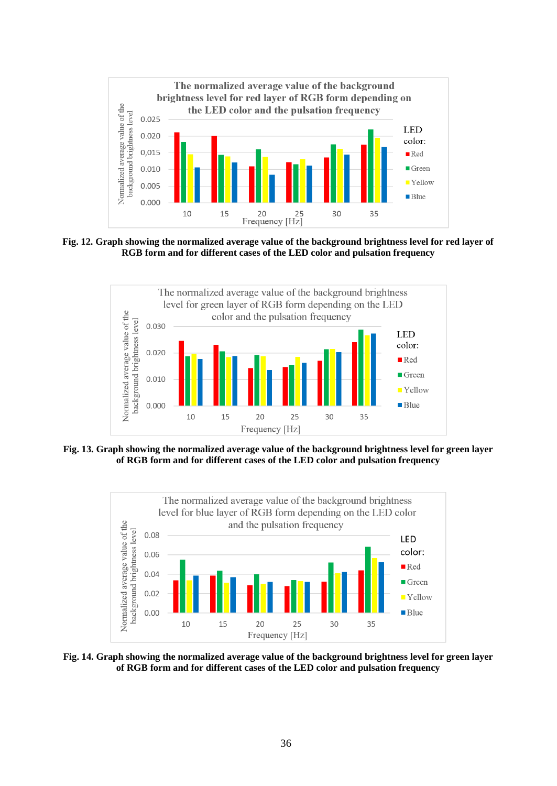

**Fig. 12. Graph showing the normalized average value of the background brightness level for red layer of RGB form and for different cases of the LED color and pulsation frequency**



**Fig. 13. Graph showing the normalized average value of the background brightness level for green layer of RGB form and for different cases of the LED color and pulsation frequency**



**Fig. 14. Graph showing the normalized average value of the background brightness level for green layer of RGB form and for different cases of the LED color and pulsation frequency**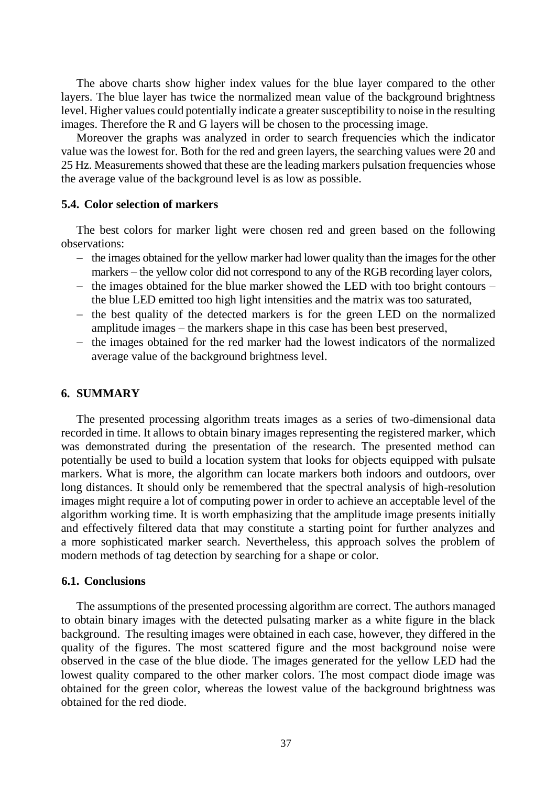The above charts show higher index values for the blue layer compared to the other layers. The blue layer has twice the normalized mean value of the background brightness level. Higher values could potentially indicate a greater susceptibility to noise in the resulting images. Therefore the R and G layers will be chosen to the processing image.

Moreover the graphs was analyzed in order to search frequencies which the indicator value was the lowest for. Both for the red and green layers, the searching values were 20 and 25 Hz. Measurements showed that these are the leading markers pulsation frequencies whose the average value of the background level is as low as possible.

# **5.4. Color selection of markers**

The best colors for marker light were chosen red and green based on the following observations:

- $-$  the images obtained for the yellow marker had lower quality than the images for the other markers – the yellow color did not correspond to any of the RGB recording layer colors,
- $-$  the images obtained for the blue marker showed the LED with too bright contours the blue LED emitted too high light intensities and the matrix was too saturated,
- $-$  the best quality of the detected markers is for the green LED on the normalized amplitude images – the markers shape in this case has been best preserved,
- $-$  the images obtained for the red marker had the lowest indicators of the normalized average value of the background brightness level.

# **6. SUMMARY**

The presented processing algorithm treats images as a series of two-dimensional data recorded in time. It allows to obtain binary images representing the registered marker, which was demonstrated during the presentation of the research. The presented method can potentially be used to build a location system that looks for objects equipped with pulsate markers. What is more, the algorithm can locate markers both indoors and outdoors, over long distances. It should only be remembered that the spectral analysis of high-resolution images might require a lot of computing power in order to achieve an acceptable level of the algorithm working time. It is worth emphasizing that the amplitude image presents initially and effectively filtered data that may constitute a starting point for further analyzes and a more sophisticated marker search. Nevertheless, this approach solves the problem of modern methods of tag detection by searching for a shape or color.

#### **6.1. Conclusions**

The assumptions of the presented processing algorithm are correct. The authors managed to obtain binary images with the detected pulsating marker as a white figure in the black background. The resulting images were obtained in each case, however, they differed in the quality of the figures. The most scattered figure and the most background noise were observed in the case of the blue diode. The images generated for the yellow LED had the lowest quality compared to the other marker colors. The most compact diode image was obtained for the green color, whereas the lowest value of the background brightness was obtained for the red diode.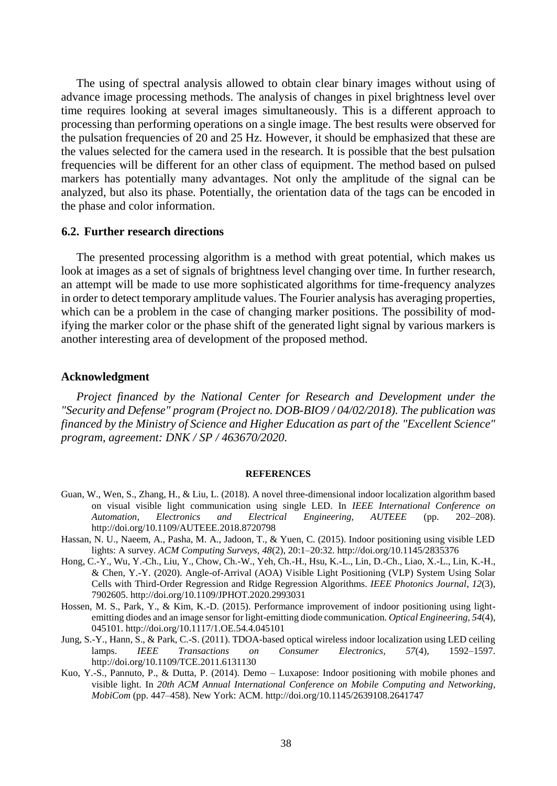The using of spectral analysis allowed to obtain clear binary images without using of advance image processing methods. The analysis of changes in pixel brightness level over time requires looking at several images simultaneously. This is a different approach to processing than performing operations on a single image. The best results were observed for the pulsation frequencies of 20 and 25 Hz. However, it should be emphasized that these are the values selected for the camera used in the research. It is possible that the best pulsation frequencies will be different for an other class of equipment. The method based on pulsed markers has potentially many advantages. Not only the amplitude of the signal can be analyzed, but also its phase. Potentially, the orientation data of the tags can be encoded in the phase and color information.

#### **6.2. Further research directions**

The presented processing algorithm is a method with great potential, which makes us look at images as a set of signals of brightness level changing over time. In further research, an attempt will be made to use more sophisticated algorithms for time-frequency analyzes in order to detect temporary amplitude values. The Fourier analysis has averaging properties, which can be a problem in the case of changing marker positions. The possibility of modifying the marker color or the phase shift of the generated light signal by various markers is another interesting area of development of the proposed method.

#### **Acknowledgment**

*Project financed by the National Center for Research and Development under the "Security and Defense" program (Project no. DOB-BIO9 / 04/02/2018). The publication was financed by the Ministry of Science and Higher Education as part of the "Excellent Science" program, agreement: DNK / SP / 463670/2020.*

#### **REFERENCES**

- Guan, W., Wen, S., Zhang, H., & Liu, L. (2018). A novel three-dimensional indoor localization algorithm based on visual visible light communication using single LED. In *IEEE International Conference on Automation, Electronics and Electrical Engineering, AUTEEE* (pp. 202–208). http://doi.org/10.1109/AUTEEE.2018.8720798
- Hassan, N. U., Naeem, A., Pasha, M. A., Jadoon, T., & Yuen, C. (2015). Indoor positioning using visible LED lights: A survey. *ACM Computing Surveys, 48*(2), 20:1–20:32. http://doi.org/10.1145/2835376
- Hong, C.-Y., Wu, Y.-Ch., Liu, Y., Chow, Ch.-W., Yeh, Ch.-H., Hsu, K.-L., Lin, D.-Ch., Liao, X.-L., Lin, K.-H., & Chen, Y.-Y. (2020). Angle-of-Arrival (AOA) Visible Light Positioning (VLP) System Using Solar Cells with Third-Order Regression and Ridge Regression Algorithms. *IEEE Photonics Journal*, *12*(3), 7902605. http://doi.org/10.1109/JPHOT.2020.2993031
- Hossen, M. S., Park, Y., & Kim, K.-D. (2015). Performance improvement of indoor positioning using lightemitting diodes and an image sensor for light-emitting diode communication. *Optical Engineering*, *54*(4), 045101. http://doi.org/10.1117/1.OE.54.4.045101
- Jung, S.-Y., Hann, S., & Park, C.-S. (2011). TDOA-based optical wireless indoor localization using LED ceiling lamps. *IEEE Transactions on Consumer Electronics*, *57*(4), 1592–1597. http://doi.org/10.1109/TCE.2011.6131130
- Kuo, Y.-S., Pannuto, P., & Dutta, P. (2014). Demo Luxapose: Indoor positioning with mobile phones and visible light. In *20th ACM Annual International Conference on Mobile Computing and Networking, MobiCom* (pp. 447–458). New York: ACM. http://doi.org/10.1145/2639108.2641747